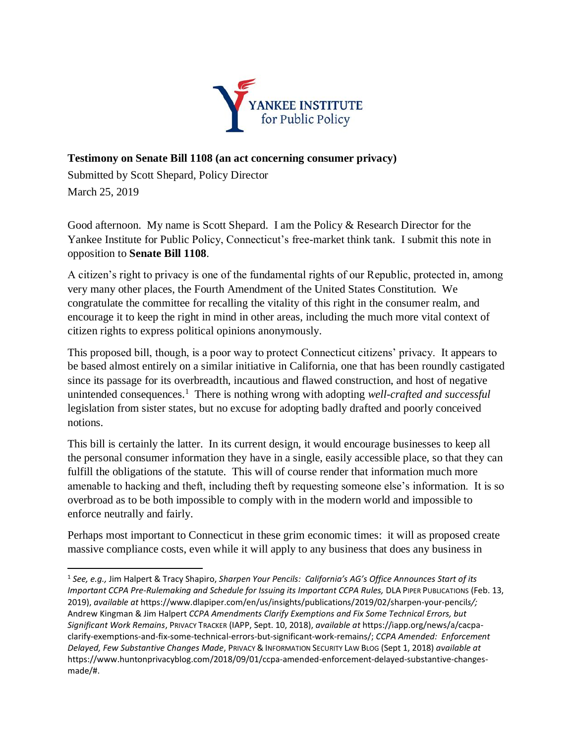

## **Testimony on Senate Bill 1108 (an act concerning consumer privacy)**

Submitted by Scott Shepard, Policy Director March 25, 2019

Good afternoon. My name is Scott Shepard. I am the Policy & Research Director for the Yankee Institute for Public Policy, Connecticut's free-market think tank. I submit this note in opposition to **Senate Bill 1108**.

A citizen's right to privacy is one of the fundamental rights of our Republic, protected in, among very many other places, the Fourth Amendment of the United States Constitution. We congratulate the committee for recalling the vitality of this right in the consumer realm, and encourage it to keep the right in mind in other areas, including the much more vital context of citizen rights to express political opinions anonymously.

This proposed bill, though, is a poor way to protect Connecticut citizens' privacy. It appears to be based almost entirely on a similar initiative in California, one that has been roundly castigated since its passage for its overbreadth, incautious and flawed construction, and host of negative unintended consequences.<sup>1</sup> There is nothing wrong with adopting *well-crafted and successful* legislation from sister states, but no excuse for adopting badly drafted and poorly conceived notions.

This bill is certainly the latter. In its current design, it would encourage businesses to keep all the personal consumer information they have in a single, easily accessible place, so that they can fulfill the obligations of the statute. This will of course render that information much more amenable to hacking and theft, including theft by requesting someone else's information. It is so overbroad as to be both impossible to comply with in the modern world and impossible to enforce neutrally and fairly.

Perhaps most important to Connecticut in these grim economic times: it will as proposed create massive compliance costs, even while it will apply to any business that does any business in

l <sup>1</sup> *See, e.g.,* Jim Halpert & Tracy Shapiro, *Sharpen Your Pencils: California's AG's Office Announces Start of its Important CCPA Pre-Rulemaking and Schedule for Issuing its Important CCPA Rules, DLA PIPER PUBLICATIONS (Feb. 13,* 2019), *available at* https://www.dlapiper.com/en/us/insights/publications/2019/02/sharpen-your-pencil*s/;* Andrew Kingman & Jim Halpert *CCPA Amendments Clarify Exemptions and Fix Some Technical Errors, but Significant Work Remains*, PRIVACY TRACKER (IAPP, Sept. 10, 2018), *available at* https://iapp.org/news/a/cacpaclarify-exemptions-and-fix-some-technical-errors-but-significant-work-remains/; *CCPA Amended: Enforcement Delayed, Few Substantive Changes Made*, PRIVACY & INFORMATION SECURITY LAW BLOG (Sept 1, 2018) *available at*  https://www.huntonprivacyblog.com/2018/09/01/ccpa-amended-enforcement-delayed-substantive-changesmade/#.